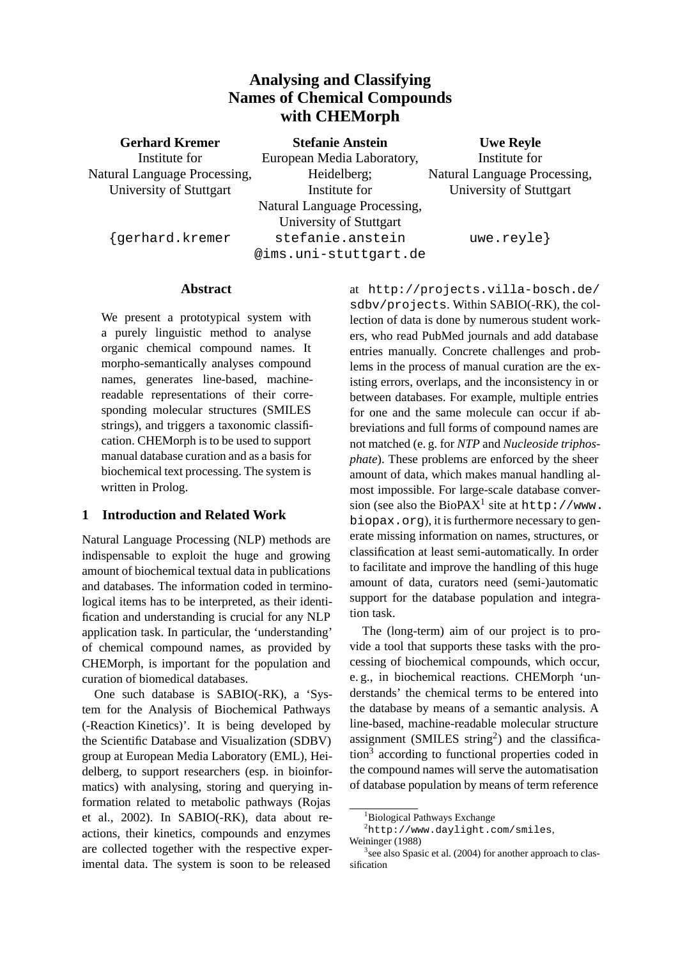# **Analysing and Classifying Names of Chemical Compounds with CHEMorph**

| <b>Gerhard Kremer</b>        | <b>Stefanie Anstein</b>      | <b>Uwe Reyle</b>             |
|------------------------------|------------------------------|------------------------------|
| Institute for                | European Media Laboratory,   | Institute for                |
| Natural Language Processing, | Heidelberg;                  | Natural Language Processing, |
| University of Stuttgart      | Institute for                | University of Stuttgart      |
|                              | Natural Language Processing, |                              |

{gerhard.kremer

University of Stuttgart stefanie.anstein @ims.uni-stuttgart.de

uwe.reyle}

# **Abstract**

We present a prototypical system with a purely linguistic method to analyse organic chemical compound names. It morpho-semantically analyses compound names, generates line-based, machinereadable representations of their corresponding molecular structures (SMILES strings), and triggers a taxonomic classification. CHEMorph is to be used to support manual database curation and as a basis for biochemical text processing. The system is written in Prolog.

## **1 Introduction and Related Work**

Natural Language Processing (NLP) methods are indispensable to exploit the huge and growing amount of biochemical textual data in publications and databases. The information coded in terminological items has to be interpreted, as their identification and understanding is crucial for any NLP application task. In particular, the 'understanding' of chemical compound names, as provided by CHEMorph, is important for the population and curation of biomedical databases.

One such database is SABIO(-RK), a 'System for the Analysis of Biochemical Pathways (-Reaction Kinetics)'. It is being developed by the Scientific Database and Visualization (SDBV) group at European Media Laboratory (EML), Heidelberg, to support researchers (esp. in bioinformatics) with analysing, storing and querying information related to metabolic pathways (Rojas et al., 2002). In SABIO(-RK), data about reactions, their kinetics, compounds and enzymes are collected together with the respective experimental data. The system is soon to be released

at http://projects.villa-bosch.de/ sdbv/projects. Within SABIO(-RK), the collection of data is done by numerous student workers, who read PubMed journals and add database entries manually. Concrete challenges and problems in the process of manual curation are the existing errors, overlaps, and the inconsistency in or between databases. For example, multiple entries for one and the same molecule can occur if abbreviations and full forms of compound names are not matched (e. g. for *NTP* and *Nucleoside triphosphate*). These problems are enforced by the sheer amount of data, which makes manual handling almost impossible. For large-scale database conversion (see also the BioPAX<sup>1</sup> site at  $http://www.$ biopax.org), it is furthermore necessary to generate missing information on names, structures, or classification at least semi-automatically. In order to facilitate and improve the handling of this huge amount of data, curators need (semi-)automatic support for the database population and integration task.

The (long-term) aim of our project is to provide a tool that supports these tasks with the processing of biochemical compounds, which occur, e. g., in biochemical reactions. CHEMorph 'understands' the chemical terms to be entered into the database by means of a semantic analysis. A line-based, machine-readable molecular structure assignment (SMILES string<sup>2</sup>) and the classification<sup>3</sup> according to functional properties coded in the compound names will serve the automatisation of database population by means of term reference

<sup>&</sup>lt;sup>1</sup>Biological Pathways Exchange

<sup>2</sup>http://www.daylight.com/smiles, Weininger (1988)

<sup>&</sup>lt;sup>3</sup> see also Spasic et al. (2004) for another approach to classification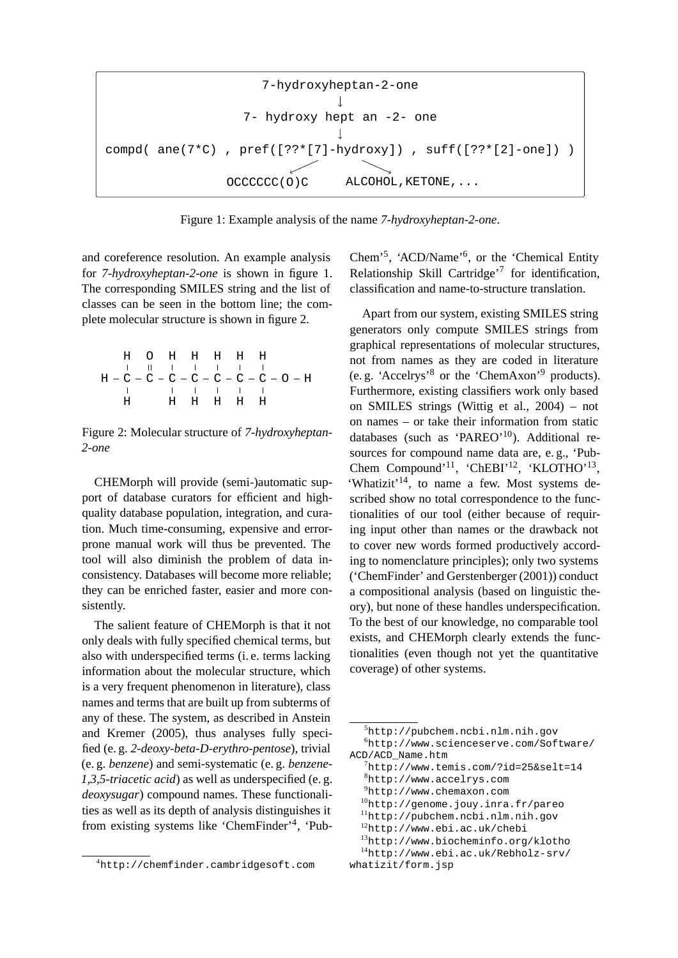7-hydroxyheptan-2-one  
\n
$$
\downarrow
$$
\n7-hydroxy hept an -2- one  
\n
$$
\downarrow
$$
\ncompd( ane(7\*C), pref([??\*[7]-hydroxy]), suff([??\*[2]-one]))  
\n
$$
OCCCCCC(0)C
$$
 ALCOHOL, KETONE,...

Figure 1: Example analysis of the name *7-hydroxyheptan-2-one*.

and coreference resolution. An example analysis for *7-hydroxyheptan-2-one* is shown in figure 1. The corresponding SMILES string and the list of classes can be seen in the bottom line; the complete molecular structure is shown in figure 2.

$$
\begin{array}{cccccccccccccccccc} & H & O & H & H & H & H & H \\ & & | & 0 & | & | & | & | & | & | & \\ H - C - C - C - C - C - C - C - C - C - C - C - D - H \\ & & | & | & | & | & | & | & \\ H & & H & H & H & H & H \end{array}
$$

Figure 2: Molecular structure of *7-hydroxyheptan-2-one*

CHEMorph will provide (semi-)automatic support of database curators for efficient and highquality database population, integration, and curation. Much time-consuming, expensive and errorprone manual work will thus be prevented. The tool will also diminish the problem of data inconsistency. Databases will become more reliable; they can be enriched faster, easier and more consistently.

The salient feature of CHEMorph is that it not only deals with fully specified chemical terms, but also with underspecified terms (i. e. terms lacking information about the molecular structure, which is a very frequent phenomenon in literature), class names and terms that are built up from subterms of any of these. The system, as described in Anstein and Kremer (2005), thus analyses fully specified (e. g. *2-deoxy-beta-D-erythro-pentose*), trivial (e. g. *benzene*) and semi-systematic (e. g. *benzene-1,3,5-triacetic acid*) as well as underspecified (e. g. *deoxysugar*) compound names. These functionalities as well as its depth of analysis distinguishes it from existing systems like 'ChemFinder'<sup>4</sup> , 'PubChem'<sup>5</sup> , 'ACD/Name'<sup>6</sup> , or the 'Chemical Entity Relationship Skill Cartridge'<sup>7</sup> for identification, classification and name-to-structure translation.

Apart from our system, existing SMILES string generators only compute SMILES strings from graphical representations of molecular structures, not from names as they are coded in literature (e. g. 'Accelrys'<sup>8</sup> or the 'ChemAxon'<sup>9</sup> products). Furthermore, existing classifiers work only based on SMILES strings (Wittig et al., 2004) – not on names – or take their information from static databases (such as 'PAREO'<sup>10</sup>). Additional resources for compound name data are, e. g., 'Pub-Chem Compound'<sup>11</sup>, 'ChEBI'<sup>12</sup>, 'KLOTHO'<sup>13</sup>, 'Whatizit'<sup>14</sup>, to name a few. Most systems described show no total correspondence to the functionalities of our tool (either because of requiring input other than names or the drawback not to cover new words formed productively according to nomenclature principles); only two systems ('ChemFinder' and Gerstenberger (2001)) conduct a compositional analysis (based on linguistic theory), but none of these handles underspecification. To the best of our knowledge, no comparable tool exists, and CHEMorph clearly extends the functionalities (even though not yet the quantitative coverage) of other systems.

```
9http://www.chemaxon.com
```

```
10http://genome.jouy.inra.fr/pareo
```

```
11http://pubchem.ncbi.nlm.nih.gov
```

```
12http://www.ebi.ac.uk/chebi
```

```
13http://www.biocheminfo.org/klotho
```

```
14http://www.ebi.ac.uk/Rebholz-srv/
```

```
whatizit/form.jsp
```
<sup>4</sup>http://chemfinder.cambridgesoft.com

<sup>5</sup>http://pubchem.ncbi.nlm.nih.gov <sup>6</sup>http://www.scienceserve.com/Software/ ACD/ACD\_Name.htm

 $^{7}$ http://www.temis.com/?id=25&selt=14 <sup>8</sup>http://www.accelrys.com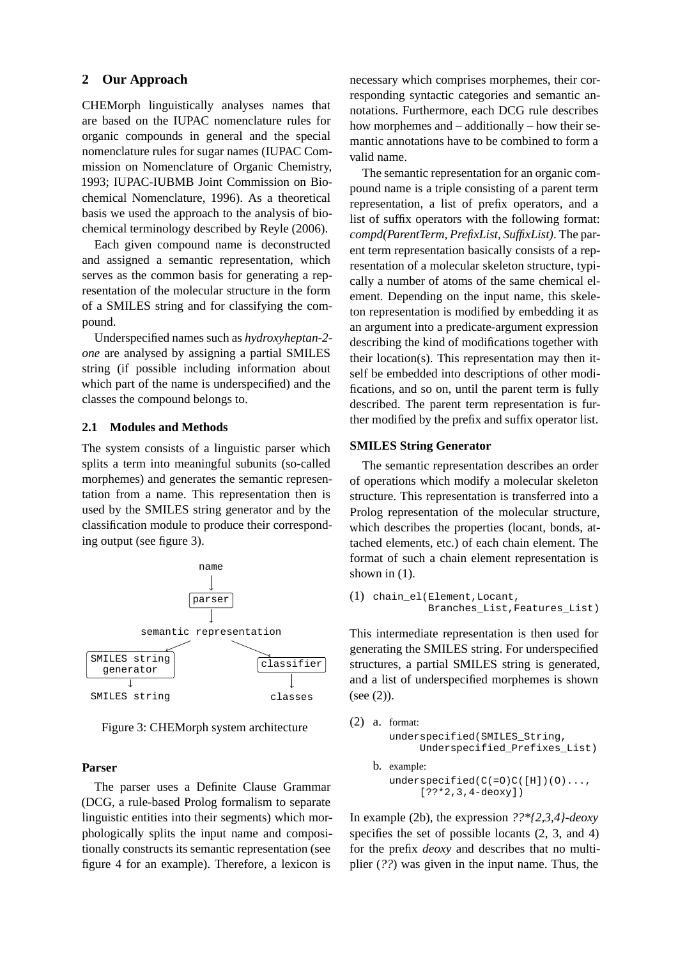### **2 Our Approach**

CHEMorph linguistically analyses names that are based on the IUPAC nomenclature rules for organic compounds in general and the special nomenclature rules for sugar names (IUPAC Commission on Nomenclature of Organic Chemistry, 1993; IUPAC-IUBMB Joint Commission on Biochemical Nomenclature, 1996). As a theoretical basis we used the approach to the analysis of biochemical terminology described by Reyle (2006).

Each given compound name is deconstructed and assigned a semantic representation, which serves as the common basis for generating a representation of the molecular structure in the form of a SMILES string and for classifying the compound.

Underspecified names such as *hydroxyheptan-2 one* are analysed by assigning a partial SMILES string (if possible including information about which part of the name is underspecified) and the classes the compound belongs to.

#### **2.1 Modules and Methods**

The system consists of a linguistic parser which splits a term into meaningful subunits (so-called morphemes) and generates the semantic representation from a name. This representation then is used by the SMILES string generator and by the classification module to produce their corresponding output (see figure 3).



Figure 3: CHEMorph system architecture

#### **Parser**

The parser uses a Definite Clause Grammar (DCG, a rule-based Prolog formalism to separate linguistic entities into their segments) which morphologically splits the input name and compositionally constructs its semantic representation (see figure 4 for an example). Therefore, a lexicon is necessary which comprises morphemes, their corresponding syntactic categories and semantic annotations. Furthermore, each DCG rule describes how morphemes and – additionally – how their semantic annotations have to be combined to form a valid name.

The semantic representation for an organic compound name is a triple consisting of a parent term representation, a list of prefix operators, and a list of suffix operators with the following format: *compd(ParentTerm, PrefixList, SuffixList)*. The parent term representation basically consists of a representation of a molecular skeleton structure, typically a number of atoms of the same chemical element. Depending on the input name, this skeleton representation is modified by embedding it as an argument into a predicate-argument expression describing the kind of modifications together with their location(s). This representation may then itself be embedded into descriptions of other modifications, and so on, until the parent term is fully described. The parent term representation is further modified by the prefix and suffix operator list.

#### **SMILES String Generator**

The semantic representation describes an order of operations which modify a molecular skeleton structure. This representation is transferred into a Prolog representation of the molecular structure, which describes the properties (locant, bonds, attached elements, etc.) of each chain element. The format of such a chain element representation is shown in  $(1)$ .

```
(1) chain_el(Element,Locant,
         Branches_List,Features_List)
```
This intermediate representation is then used for generating the SMILES string. For underspecified structures, a partial SMILES string is generated, and a list of underspecified morphemes is shown (see (2)).

```
(2) a. format:
  underspecified(SMILES_String,
       Underspecified_Prefixes_List)
b. example:
  underspecified(C(=0)C([H])(0)...[??*2,3,4-deoxy])
```
In example (2b), the expression *??\*{2,3,4}-deoxy* specifies the set of possible locants (2, 3, and 4) for the prefix *deoxy* and describes that no multiplier (*??*) was given in the input name. Thus, the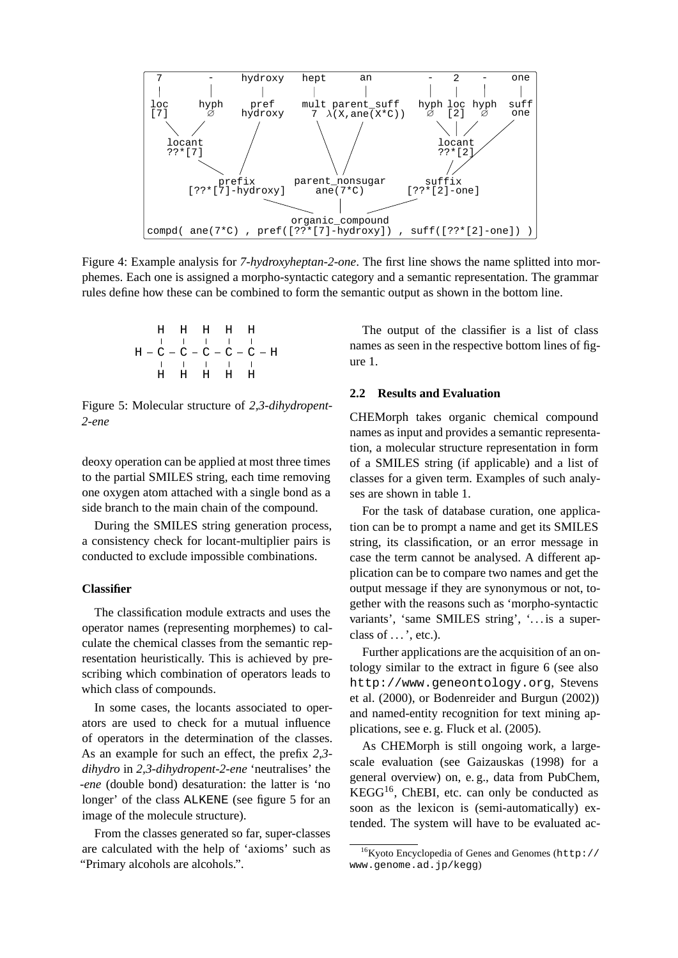

Figure 4: Example analysis for *7-hydroxyheptan-2-one*. The first line shows the name splitted into morphemes. Each one is assigned a morpho-syntactic category and a semantic representation. The grammar rules define how these can be combined to form the semantic output as shown in the bottom line.

$$
\begin{array}{cccccccccccccc} & H & H & H & H & H & H \\ & & | & | & | & | & | & | & \\ H - C - C - C - C - C - C - C & - H & & \\ & | & | & | & | & | & | & \\ & H & H & H & H & H & H \end{array}
$$

Figure 5: Molecular structure of *2,3-dihydropent-2-ene*

deoxy operation can be applied at most three times to the partial SMILES string, each time removing one oxygen atom attached with a single bond as a side branch to the main chain of the compound.

During the SMILES string generation process, a consistency check for locant-multiplier pairs is conducted to exclude impossible combinations.

#### **Classifier**

The classification module extracts and uses the operator names (representing morphemes) to calculate the chemical classes from the semantic representation heuristically. This is achieved by prescribing which combination of operators leads to which class of compounds.

In some cases, the locants associated to operators are used to check for a mutual influence of operators in the determination of the classes. As an example for such an effect, the prefix *2,3 dihydro* in *2,3-dihydropent-2-ene* 'neutralises' the *-ene* (double bond) desaturation: the latter is 'no longer' of the class ALKENE (see figure 5 for an image of the molecule structure).

From the classes generated so far, super-classes are calculated with the help of 'axioms' such as "Primary alcohols are alcohols.".

The output of the classifier is a list of class names as seen in the respective bottom lines of figure 1.

#### **2.2 Results and Evaluation**

CHEMorph takes organic chemical compound names as input and provides a semantic representation, a molecular structure representation in form of a SMILES string (if applicable) and a list of classes for a given term. Examples of such analyses are shown in table 1.

For the task of database curation, one application can be to prompt a name and get its SMILES string, its classification, or an error message in case the term cannot be analysed. A different application can be to compare two names and get the output message if they are synonymous or not, together with the reasons such as 'morpho-syntactic variants', 'same SMILES string', '. . . is a superclass of  $\dots$ , etc.).

Further applications are the acquisition of an ontology similar to the extract in figure 6 (see also http://www.geneontology.org, Stevens et al. (2000), or Bodenreider and Burgun (2002)) and named-entity recognition for text mining applications, see e. g. Fluck et al. (2005).

As CHEMorph is still ongoing work, a largescale evaluation (see Gaizauskas (1998) for a general overview) on, e. g., data from PubChem,  $KEGG<sup>16</sup>$ , ChEBI, etc. can only be conducted as soon as the lexicon is (semi-automatically) extended. The system will have to be evaluated ac-

<sup>16</sup>Kyoto Encyclopedia of Genes and Genomes (http:// www.genome.ad.jp/kegg)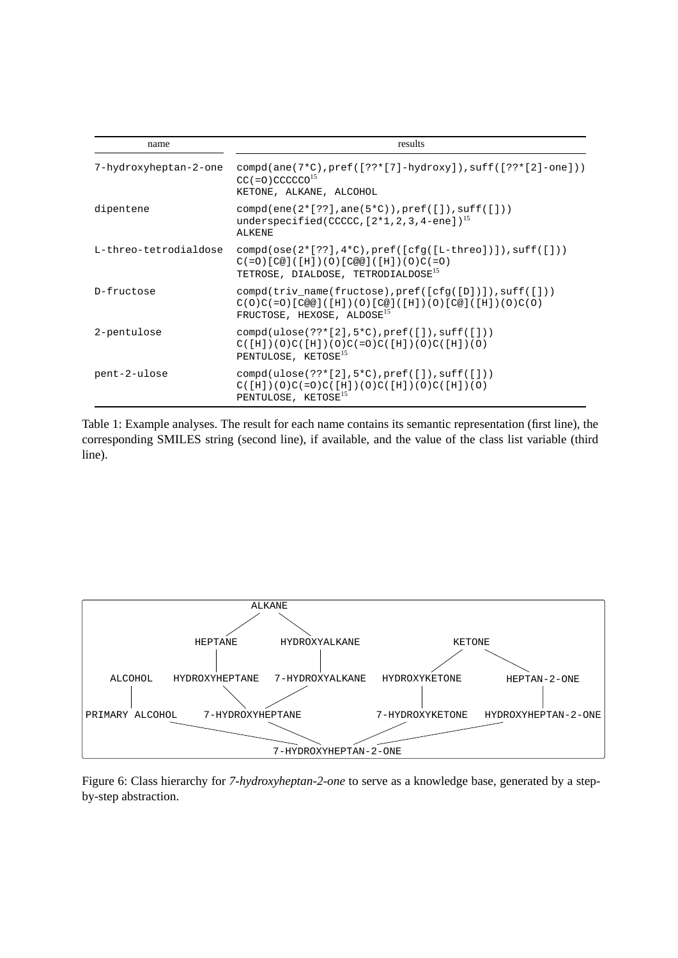| name                  | results                                                                                                                                                                                                   |  |
|-----------------------|-----------------------------------------------------------------------------------------------------------------------------------------------------------------------------------------------------------|--|
| 7-hydroxyheptan-2-one | $\text{compd}(\text{ane}(7*C), \text{pref}([??*[7]-\text{hydroxy}]), \text{suffix}([??*[2]-\text{one}]))$<br>$CC (=0)$ CCCCCO <sup>15</sup><br>KETONE, ALKANE, ALCOHOL                                    |  |
| dipentene             | $compd(ene(2*[??],ane(5*C)),pref([])$ , suff $([])$<br>underspecified(CCCCC, $[2*1, 2, 3, 4$ -ene]) <sup>15</sup><br><b>ALKENE</b>                                                                        |  |
| L-threo-tetrodialdose | $\text{compd}(\text{ose}(2*[??], 4*C), \text{pref}([\text{cfq}([L-three)])), \text{suffix}([\ ]))$<br>$C (=0) [C@] ([H]) (0) [C@@] ([H]) (0) C (=0)$<br>TETROSE, DIALDOSE, TETRODIALDOSE <sup>15</sup>    |  |
| D-fructose            | $\text{compd}(\text{triv_name}(\text{fructose}), \text{pref}([\text{cfq}([D])]), \text{suffix}([\ ]))$<br>$C(0)C(=0)$ [C@@]([H])(O)[C@]([H])(O)[C@]([H])(O)C(O)<br>FRUCTOSE, HEXOSE, ALDOSE <sup>15</sup> |  |
| 2-pentulose           | $compd(ulose(??*[2], 5*C), pref([1], suff([1]))$<br>$C([H])(O)C([H])(O)C(=O)C([H])(O)C([H])(O)$<br>PENTULOSE, KETOSE <sup>15</sup>                                                                        |  |
| pent-2-ulose          | $compd(ulose(??*[2], 5*C), pref([])$ , suff([]))<br>$C([H])(O)C(=O)C([H])(O)C([H])(O)C([H])(O)$<br>PENTULOSE, KETOSE <sup>15</sup>                                                                        |  |

Table 1: Example analyses. The result for each name contains its semantic representation (first line), the corresponding SMILES string (second line), if available, and the value of the class list variable (third line).



Figure 6: Class hierarchy for *7-hydroxyheptan-2-one* to serve as a knowledge base, generated by a stepby-step abstraction.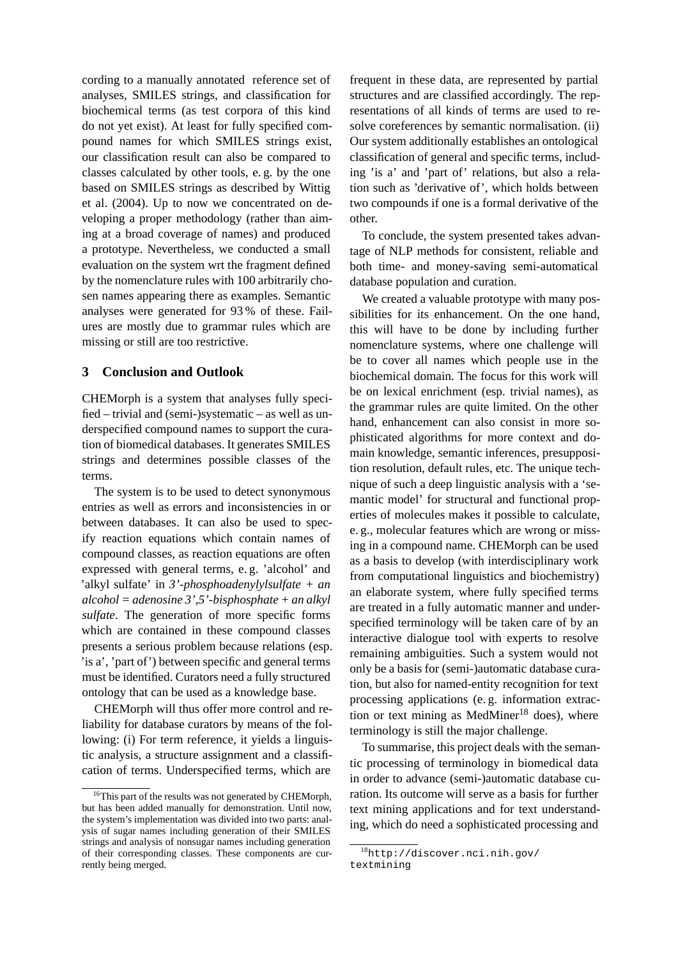cording to a manually annotated reference set of analyses, SMILES strings, and classification for biochemical terms (as test corpora of this kind do not yet exist). At least for fully specified compound names for which SMILES strings exist, our classification result can also be compared to classes calculated by other tools, e. g. by the one based on SMILES strings as described by Wittig et al. (2004). Up to now we concentrated on developing a proper methodology (rather than aiming at a broad coverage of names) and produced a prototype. Nevertheless, we conducted a small evaluation on the system wrt the fragment defined by the nomenclature rules with 100 arbitrarily chosen names appearing there as examples. Semantic analyses were generated for 93 % of these. Failures are mostly due to grammar rules which are missing or still are too restrictive.

## **3 Conclusion and Outlook**

CHEMorph is a system that analyses fully specified – trivial and (semi-)systematic – as well as underspecified compound names to support the curation of biomedical databases. It generates SMILES strings and determines possible classes of the terms.

The system is to be used to detect synonymous entries as well as errors and inconsistencies in or between databases. It can also be used to specify reaction equations which contain names of compound classes, as reaction equations are often expressed with general terms, e. g. 'alcohol' and 'alkyl sulfate' in *3'-phosphoadenylylsulfate + an alcohol = adenosine 3',5'-bisphosphate + an alkyl sulfate*. The generation of more specific forms which are contained in these compound classes presents a serious problem because relations (esp. 'is a', 'part of') between specific and general terms must be identified. Curators need a fully structured ontology that can be used as a knowledge base.

CHEMorph will thus offer more control and reliability for database curators by means of the following: (i) For term reference, it yields a linguistic analysis, a structure assignment and a classification of terms. Underspecified terms, which are

frequent in these data, are represented by partial structures and are classified accordingly. The representations of all kinds of terms are used to resolve coreferences by semantic normalisation. (ii) Our system additionally establishes an ontological classification of general and specific terms, including 'is a' and 'part of' relations, but also a relation such as 'derivative of', which holds between two compounds if one is a formal derivative of the other.

To conclude, the system presented takes advantage of NLP methods for consistent, reliable and both time- and money-saving semi-automatical database population and curation.

We created a valuable prototype with many possibilities for its enhancement. On the one hand, this will have to be done by including further nomenclature systems, where one challenge will be to cover all names which people use in the biochemical domain. The focus for this work will be on lexical enrichment (esp. trivial names), as the grammar rules are quite limited. On the other hand, enhancement can also consist in more sophisticated algorithms for more context and domain knowledge, semantic inferences, presupposition resolution, default rules, etc. The unique technique of such a deep linguistic analysis with a 'semantic model' for structural and functional properties of molecules makes it possible to calculate, e. g., molecular features which are wrong or missing in a compound name. CHEMorph can be used as a basis to develop (with interdisciplinary work from computational linguistics and biochemistry) an elaborate system, where fully specified terms are treated in a fully automatic manner and underspecified terminology will be taken care of by an interactive dialogue tool with experts to resolve remaining ambiguities. Such a system would not only be a basis for (semi-)automatic database curation, but also for named-entity recognition for text processing applications (e. g. information extraction or text mining as MedMiner<sup>18</sup> does), where terminology is still the major challenge.

To summarise, this project deals with the semantic processing of terminology in biomedical data in order to advance (semi-)automatic database curation. Its outcome will serve as a basis for further text mining applications and for text understanding, which do need a sophisticated processing and

<sup>&</sup>lt;sup>16</sup>This part of the results was not generated by CHEMorph, but has been added manually for demonstration. Until now, the system's implementation was divided into two parts: analysis of sugar names including generation of their SMILES strings and analysis of nonsugar names including generation of their corresponding classes. These components are currently being merged.

<sup>18</sup>http://discover.nci.nih.gov/ textmining